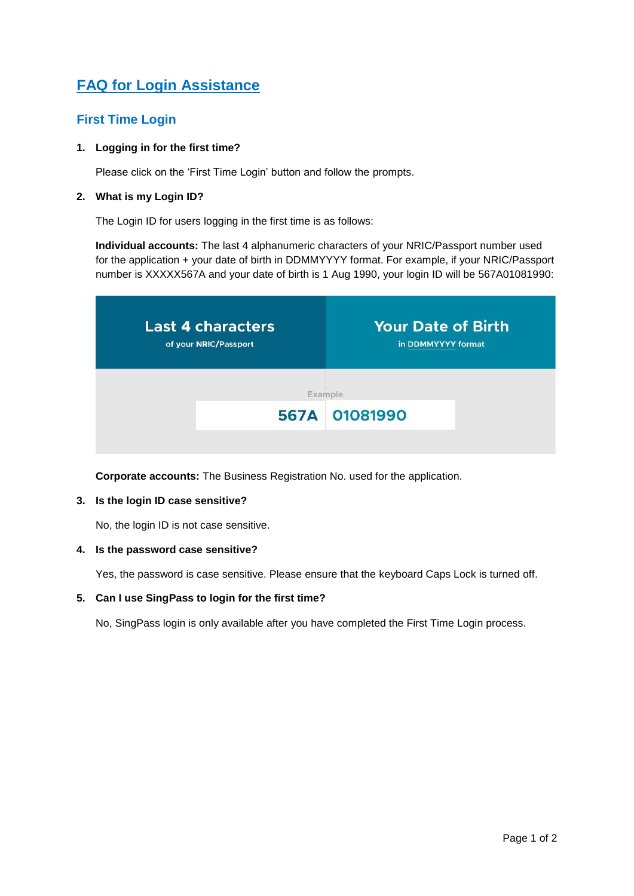# **FAQ for Login Assistance**

# **First Time Login**

# **1. Logging in for the first time?**

Please click on the 'First Time Login' button and follow the prompts.

### **2. What is my Login ID?**

The Login ID for users logging in the first time is as follows:

**Individual accounts:** The last 4 alphanumeric characters of your NRIC/Passport number used for the application + your date of birth in DDMMYYYY format. For example, if your NRIC/Passport number is XXXXX567A and your date of birth is 1 Aug 1990, your login ID will be 567A01081990:

| <b>Your Date of Birth</b><br>in DDMMYYYY format | <b>Last 4 characters</b><br>of your NRIC/Passport |
|-------------------------------------------------|---------------------------------------------------|
| Example                                         |                                                   |
| 567A 01081990                                   |                                                   |
|                                                 |                                                   |

**Corporate accounts:** The Business Registration No. used for the application.

#### **3. Is the login ID case sensitive?**

No, the login ID is not case sensitive.

### **4. Is the password case sensitive?**

Yes, the password is case sensitive. Please ensure that the keyboard Caps Lock is turned off.

### **5. Can I use SingPass to login for the first time?**

No, SingPass login is only available after you have completed the First Time Login process.